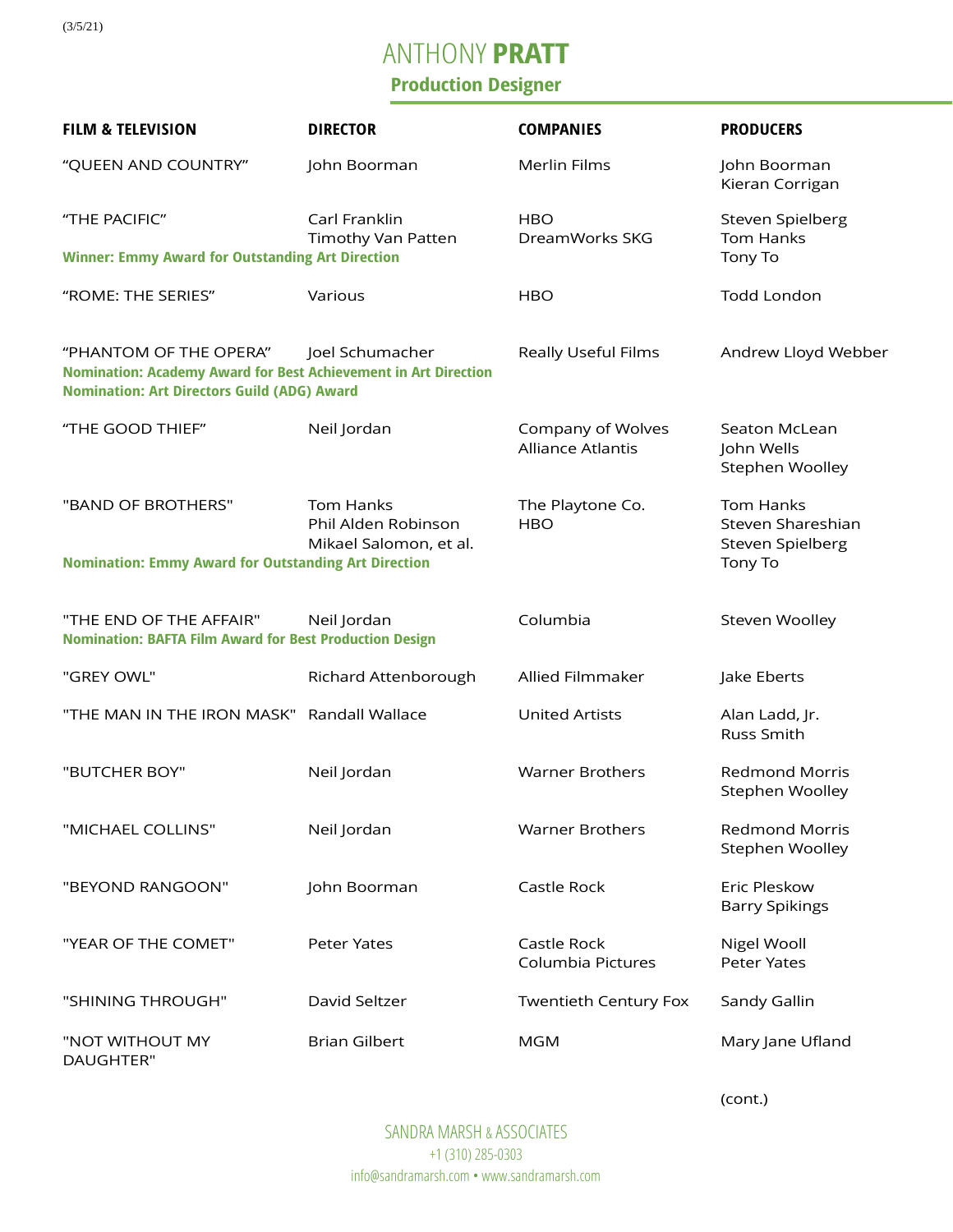(3/5/21)

## ANTHONY **PRATT**

## **Production Designer**

| <b>FILM &amp; TELEVISION</b>                                                                                                                    | <b>DIRECTOR</b>                                                   | <b>COMPANIES</b>                              | <b>PRODUCERS</b>                                   |
|-------------------------------------------------------------------------------------------------------------------------------------------------|-------------------------------------------------------------------|-----------------------------------------------|----------------------------------------------------|
| "QUEEN AND COUNTRY"                                                                                                                             | John Boorman                                                      | Merlin Films                                  | John Boorman<br>Kieran Corrigan                    |
| "THE PACIFIC"                                                                                                                                   | Carl Franklin<br>Timothy Van Patten                               | <b>HBO</b><br>DreamWorks SKG                  | Steven Spielberg<br>Tom Hanks                      |
| <b>Winner: Emmy Award for Outstanding Art Direction</b>                                                                                         |                                                                   |                                               | Tony To                                            |
| "ROME: THE SERIES"                                                                                                                              | Various                                                           | <b>HBO</b>                                    | <b>Todd London</b>                                 |
| "PHANTOM OF THE OPERA"<br>Nomination: Academy Award for Best Achievement in Art Direction<br><b>Nomination: Art Directors Guild (ADG) Award</b> | Joel Schumacher                                                   | Really Useful Films                           | Andrew Lloyd Webber                                |
| "THE GOOD THIEF"                                                                                                                                | Neil Jordan                                                       | Company of Wolves<br><b>Alliance Atlantis</b> | Seaton McLean<br>John Wells<br>Stephen Woolley     |
| "BAND OF BROTHERS"                                                                                                                              | <b>Tom Hanks</b><br>Phil Alden Robinson<br>Mikael Salomon, et al. | The Playtone Co.<br><b>HBO</b>                | Tom Hanks<br>Steven Shareshian<br>Steven Spielberg |
| <b>Nomination: Emmy Award for Outstanding Art Direction</b>                                                                                     |                                                                   |                                               | Tony To                                            |
| "THE END OF THE AFFAIR"<br><b>Nomination: BAFTA Film Award for Best Production Design</b>                                                       | Neil Jordan                                                       | Columbia                                      | Steven Woolley                                     |
| "GREY OWL"                                                                                                                                      | Richard Attenborough                                              | Allied Filmmaker                              | Jake Eberts                                        |
| "THE MAN IN THE IRON MASK" Randall Wallace                                                                                                      |                                                                   | <b>United Artists</b>                         | Alan Ladd, Jr.<br>Russ Smith                       |
| "BUTCHER BOY"                                                                                                                                   | Neil Jordan                                                       | <b>Warner Brothers</b>                        | <b>Redmond Morris</b><br>Stephen Woolley           |
| "MICHAEL COLLINS"                                                                                                                               | Neil Jordan                                                       | <b>Warner Brothers</b>                        | <b>Redmond Morris</b><br>Stephen Woolley           |
| "BEYOND RANGOON"                                                                                                                                | John Boorman                                                      | Castle Rock                                   | Eric Pleskow<br><b>Barry Spikings</b>              |
| "YEAR OF THE COMET"                                                                                                                             | Peter Yates                                                       | Castle Rock<br>Columbia Pictures              | Nigel Wooll<br>Peter Yates                         |
| "SHINING THROUGH"                                                                                                                               | David Seltzer                                                     | <b>Twentieth Century Fox</b>                  | Sandy Gallin                                       |
| "NOT WITHOUT MY<br>DAUGHTER"                                                                                                                    | <b>Brian Gilbert</b>                                              | <b>MGM</b>                                    | Mary Jane Ufland                                   |

(cont.)